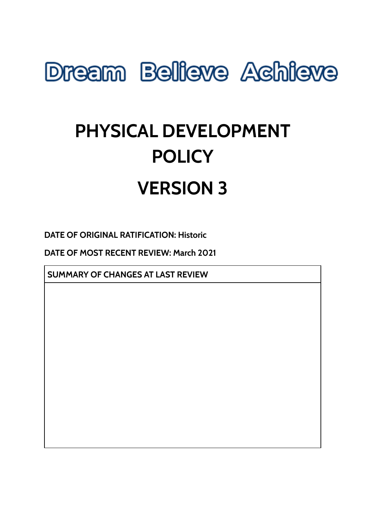

# **PHYSICAL DEVELOPMENT POLICY VERSION 3**

**DATE OF ORIGINAL RATIFICATION: Historic**

**DATE OF MOST RECENT REVIEW: March 2021**

**SUMMARY OF CHANGES AT LAST REVIEW**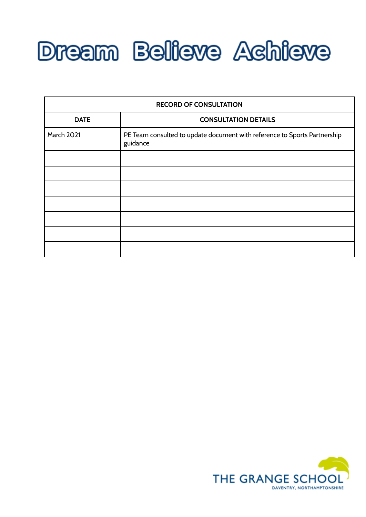

| <b>RECORD OF CONSULTATION</b> |                                                                                       |
|-------------------------------|---------------------------------------------------------------------------------------|
| <b>DATE</b>                   | <b>CONSULTATION DETAILS</b>                                                           |
| <b>March 2021</b>             | PE Team consulted to update document with reference to Sports Partnership<br>guidance |
|                               |                                                                                       |
|                               |                                                                                       |
|                               |                                                                                       |
|                               |                                                                                       |
|                               |                                                                                       |
|                               |                                                                                       |
|                               |                                                                                       |

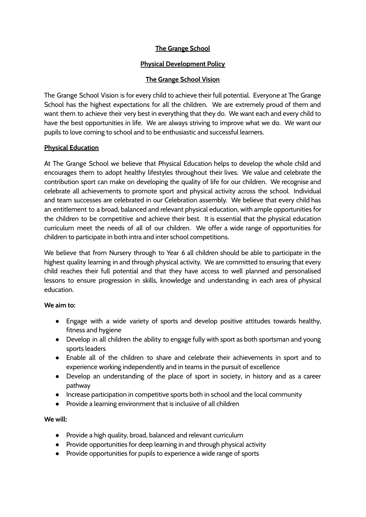## **The Grange School**

## **Physical Development Policy**

## **The Grange School Vision**

The Grange School Vision is for every child to achieve their full potential. Everyone at The Grange School has the highest expectations for all the children. We are extremely proud of them and want them to achieve their very best in everything that they do. We want each and every child to have the best opportunities in life. We are always striving to improve what we do. We want our pupils to love coming to school and to be enthusiastic and successful learners.

# **Physical Education**

At The Grange School we believe that Physical Education helps to develop the whole child and encourages them to adopt healthy lifestyles throughout their lives. We value and celebrate the contribution sport can make on developing the quality of life for our children. We recognise and celebrate all achievements to promote sport and physical activity across the school. Individual and team successes are celebrated in our Celebration assembly. We believe that every child has an entitlement to a broad, balanced and relevant physical education, with ample opportunities for the children to be competitive and achieve their best. It is essential that the physical education curriculum meet the needs of all of our children. We offer a wide range of opportunities for children to participate in both intra and inter school competitions.

We believe that from Nursery through to Year 6 all children should be able to participate in the highest quality learning in and through physical activity. We are committed to ensuring that every child reaches their full potential and that they have access to well planned and personalised lessons to ensure progression in skills, knowledge and understanding in each area of physical education.

### **We aim to:**

- Engage with a wide variety of sports and develop positive attitudes towards healthy, fitness and hygiene
- Develop in all children the ability to engage fully with sport as both sportsman and young sports leaders
- Enable all of the children to share and celebrate their achievements in sport and to experience working independently and in teams in the pursuit of excellence
- Develop an understanding of the place of sport in society, in history and as a career pathway
- Increase participation in competitive sports both in school and the local community
- Provide a learning environment that is inclusive of all children

### **We will:**

- Provide a high quality, broad, balanced and relevant curriculum
- Provide opportunities for deep learning in and through physical activity
- Provide opportunities for pupils to experience a wide range of sports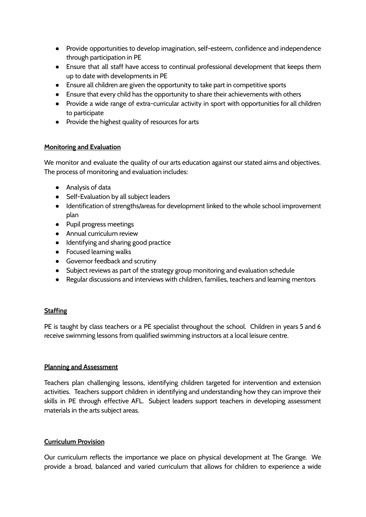- Provide opportunities to develop imagination, self-esteem, confidence and independence through participation in PE
- Ensure that all staff have access to continual professional development that keeps them up to date with developments in PE
- Ensure all children are given the opportunity to take part in competitive sports
- Ensure that every child has the opportunity to share their achievements with others
- Provide a wide range of extra-curricular activity in sport with opportunities for all children to participate
- Provide the highest quality of resources for arts

### **Monitoring and Evaluation**

We monitor and evaluate the quality of our arts education against our stated aims and objectives. The process of monitoring and evaluation includes:

- Analysis of data
- Self-Evaluation by all subject leaders
- Identification of strengths/areas for development linked to the whole school improvement plan
- Pupil progress meetings
- Annual curriculum review
- Identifying and sharing good practice
- Focused learning walks
- Governor feedback and scrutiny
- Subject reviews as part of the strategy group monitoring and evaluation schedule
- Regular discussions and interviews with children, families, teachers and learning mentors

### **Staffing**

PE is taught by class teachers or a PE specialist throughout the school. Children in years 5 and 6 receive swimming lessons from qualified swimming instructors at a local leisure centre.

#### **Planning and Assessment**

Teachers plan challenging lessons, identifying children targeted for intervention and extension activities. Teachers support children in identifying and understanding how they can improve their skills in PE through effective AFL. Subject leaders support teachers in developing assessment materials in the arts subject areas.

### **Curriculum Provision**

Our curriculum reflects the importance we place on physical development at The Grange. We provide a broad, balanced and varied curriculum that allows for children to experience a wide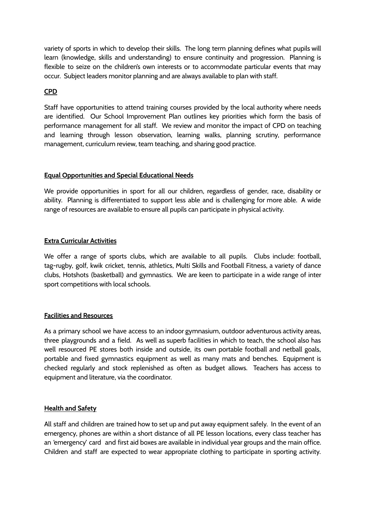variety of sports in which to develop their skills. The long term planning defines what pupils will learn (knowledge, skills and understanding) to ensure continuity and progression. Planning is flexible to seize on the children's own interests or to accommodate particular events that may occur. Subject leaders monitor planning and are always available to plan with staff.

#### **CPD**

Staff have opportunities to attend training courses provided by the local authority where needs are identified. Our School Improvement Plan outlines key priorities which form the basis of performance management for all staff. We review and monitor the impact of CPD on teaching and learning through lesson observation, learning walks, planning scrutiny, performance management, curriculum review, team teaching, and sharing good practice.

#### **Equal Opportunities and Special Educational Needs**

We provide opportunities in sport for all our children, regardless of gender, race, disability or ability. Planning is differentiated to support less able and is challenging for more able. A wide range of resources are available to ensure all pupils can participate in physical activity.

#### **Extra Curricular Activities**

We offer a range of sports clubs, which are available to all pupils. Clubs include: football, tag-rugby, golf, kwik cricket, tennis, athletics, Multi Skills and Football Fitness, a variety of dance clubs, Hotshots (basketball) and gymnastics. We are keen to participate in a wide range of inter sport competitions with local schools.

#### **Facilities and Resources**

As a primary school we have access to an indoor gymnasium, outdoor adventurous activity areas, three playgrounds and a field. As well as superb facilities in which to teach, the school also has well resourced PE stores both inside and outside, its own portable football and netball goals, portable and fixed gymnastics equipment as well as many mats and benches. Equipment is checked regularly and stock replenished as often as budget allows. Teachers has access to equipment and literature, via the coordinator.

### **Health and Safety**

All staff and children are trained how to set up and put away equipment safely. In the event of an emergency, phones are within a short distance of all PE lesson locations, every class teacher has an 'emergency' card and first aid boxes are available in individual year groups and the main office. Children and staff are expected to wear appropriate clothing to participate in sporting activity.